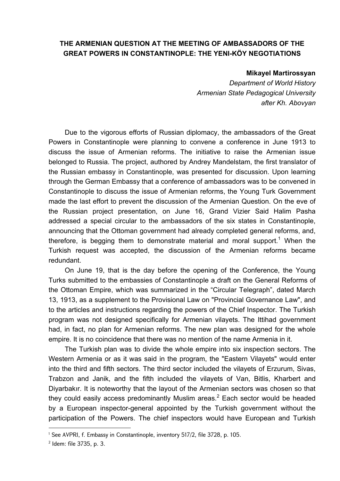## **THE ARMENIAN QUESTION AT THE MEETING OF AMBASSADORS OF THE GREAT POWERS IN CONSTANTINOPLE: THE YENI-KÖY NEGOTIATIONS**

#### **Mikayel Martirossyan**

*Department of World History Armenian State Pedagogical University after Kh. Abovyan* 

Due to the vigorous efforts of Russian diplomacy, the ambassadors of the Great Powers in Constantinople were planning to convene a conference in June 1913 to discuss the issue of Armenian reforms. The initiative to raise the Armenian issue belonged to Russia. The project, authored by Andrey Mandelstam, the first translator of the Russian embassy in Constantinople, was presented for discussion. Upon learning through the German Embassy that a conference of ambassadors was to be convened in Constantinople to discuss the issue of Armenian reforms, the Young Turk Government made the last effort to prevent the discussion of the Armenian Question. On the eve of the Russian project presentation, on June 16, Grand Vizier Said Halim Pasha addressed a special circular to the ambassadors of the six states in Constantinople, announcing that the Ottoman government had already completed general reforms, and, therefore, is begging them to demonstrate material and moral support.<sup>1</sup> When the Turkish request was accepted, the discussion of the Armenian reforms became redundant.

On June 19, that is the day before the opening of the Conference, the Young Turks submitted to the embassies of Constantinople a draft on the General Reforms of the Ottoman Empire, which was summarized in the "Circular Telegraph", dated March 13, 1913, as a supplement to the Provisional Law on "Provincial Governance Law", and to the articles and instructions regarding the powers of the Chief Inspector. The Turkish program was not designed specifically for Armenian vilayets. The Ittihad government had, in fact, no plan for Armenian reforms. The new plan was designed for the whole empire. It is no coincidence that there was no mention of the name Armenia in it.

The Turkish plan was to divide the whole empire into six inspection sectors. The Western Armenia or as it was said in the program, the "Eastern Vilayets" would enter into the third and fifth sectors. The third sector included the vilayets of Erzurum, Sivas, Trabzon and Janik, and the fifth included the vilayets of Van, Bitlis, Kharbert and Diyarbakır. It is noteworthy that the layout of the Armenian sectors was chosen so that they could easily access predominantly Muslim areas.<sup>2</sup> Each sector would be headed by a European inspector-general appointed by the Turkish government without the participation of the Powers. The chief inspectors would have European and Turkish

<sup>1</sup> See AVPRI, f. Embassy in Constantinople, inventory 517/2, file 3728, p. 105.

<sup>2</sup> Idem: file 3735, p. 3.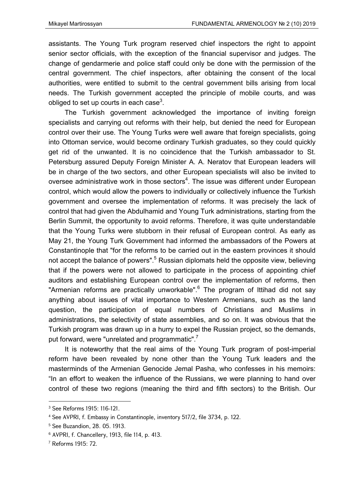assistants. The Young Turk program reserved chief inspectors the right to appoint senior sector officials, with the exception of the financial supervisor and judges. The change of gendarmerie and police staff could only be done with the permission of the central government. The chief inspectors, after obtaining the consent of the local authorities, were entitled to submit to the central government bills arising from local needs. The Turkish government accepted the principle of mobile courts, and was obliged to set up courts in each case $^3$ .

The Turkish government acknowledged the importance of inviting foreign specialists and carrying out reforms with their help, but denied the need for European control over their use. The Young Turks were well aware that foreign specialists, going into Ottoman service, would become ordinary Turkish graduates, so they could quickly get rid of the unwanted. It is no coincidence that the Turkish ambassador to St. Petersburg assured Deputy Foreign Minister A. A. Neratov that European leaders will be in charge of the two sectors, and other European specialists will also be invited to oversee administrative work in those sectors $4$ . The issue was different under European control, which would allow the powers to individually or collectively influence the Turkish government and oversee the implementation of reforms. It was precisely the lack of control that had given the Abdulhamid and Young Turk administrations, starting from the Berlin Summit, the opportunity to avoid reforms. Therefore, it was quite understandable that the Young Turks were stubborn in their refusal of European control. As early as May 21, the Young Turk Government had informed the ambassadors of the Powers at Constantinople that "for the reforms to be carried out in the eastern provinces it should not accept the balance of powers".<sup>5</sup> Russian diplomats held the opposite view, believing that if the powers were not allowed to participate in the process of appointing chief auditors and establishing European control over the implementation of reforms, then "Armenian reforms are practically unworkable".<sup>6</sup> The program of Ittihad did not say anything about issues of vital importance to Western Armenians, such as the land question, the participation of equal numbers of Christians and Muslims in administrations, the selectivity of state assemblies, and so on. It was obvious that the Turkish program was drawn up in a hurry to expel the Russian project, so the demands, put forward, were "unrelated and programmatic".<sup>7</sup>

It is noteworthy that the real aims of the Young Turk program of post-imperial reform have been revealed by none other than the Young Turk leaders and the masterminds of the Armenian Genocide Jemal Pasha, who confesses in his memoirs: "In an effort to weaken the influence of the Russians, we were planning to hand over control of these two regions (meaning the third and fifth sectors) to the British. Our

<sup>3</sup> See Reforms 1915: 116-121.

<sup>4</sup> See AVPRI, f. Embassy in Constantinople, inventory 517/2, file 3734, p. 122.

<sup>5</sup> See Buzandion, 28. 05. 1913.

<sup>6</sup> AVPRI, f. Chancellery, 1913, file 114, p. 413.

<sup>7</sup> Reforms 1915: 72.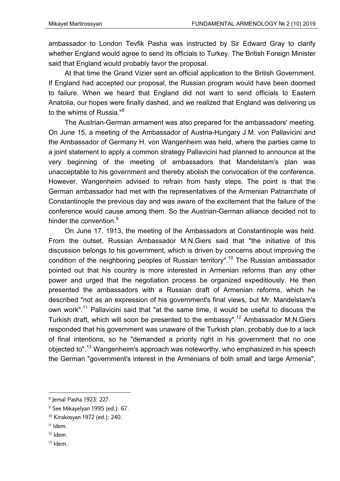ambassador to London Tevfik Pasha was instructed by Sir Edward Gray to clarify whether England would agree to send its officials to Turkey. The British Foreign Minister said that England would probably favor the proposal.

At that time the Grand Vizier sent an official application to the British Government. If England had accepted our proposal, the Russian program would have been doomed to failure. When we heard that England did not want to send officials to Eastern Anatolia, our hopes were finally dashed, and we realized that England was delivering us to the whims of Russia."<sup>8</sup>

The Austrian-German armament was also prepared for the ambassadors' meeting. On June 15, a meeting of the Ambassador of Austria-Hungary J.M. von Pallavicini and the Ambassador of Germany H. von Wangenheim was held, where the parties came to a joint statement to apply a common strategy Pallavicini had planned to announce at the very beginning of the meeting of ambassadors that Mandelstam's plan was unacceptable to his government and thereby abolish the convocation of the conference. However, Wangenheim advised to refrain from hasty steps. The point is that the German ambassador had met with the representatives of the Armenian Patriarchate of Constantinople the previous day and was aware of the excitement that the failure of the conference would cause among them. So the Austrian-German alliance decided not to hinder the convention.<sup>9</sup>

On June 17, 1913, the meeting of the Ambassadors at Constantinople was held. From the outset, Russian Ambassador M.N.Giers said that "the initiative of this discussion belongs to his government, which is driven by concerns about improving the condition of the neighboring peoples of Russian territory".<sup>10</sup> The Russian ambassador pointed out that his country is more interested in Armenian reforms than any other power and urged that the negotiation process be organized expeditiously. He then presented the ambassadors with a Russian draft of Armenian reforms, which he described "not as an expression of his government's final views, but Mr. Mandelstam's own work".<sup>11</sup> Pallavicini said that "at the same time, it would be useful to discuss the Turkish draft, which will soon be presented to the embassy".<sup>12</sup> Ambassador M.N.Giers responded that his government was unaware of the Turkish plan, probably due to a lack of final intentions, so he "demanded a priority right in his government that no one objected to".<sup>13</sup> Wangenheim's approach was noteworthy, who emphasized in his speech the German "government's interest in the Armenians of both small and large Armenia",

- $11$  Idem.
- $12$  Idem.
- 13 Idem.

<sup>8</sup> Jemal Pasha 1923: 227.

<sup>&</sup>lt;sup>9</sup> See Mikayelyan 1995 (ed.): 67.

<sup>10</sup> Kirakosyan 1972 (ed.): 240.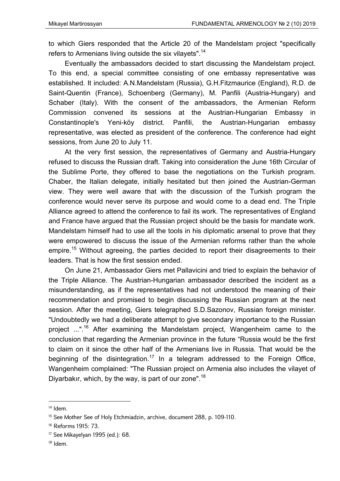to which Giers responded that the Article 20 of the Mandelstam project "specifically refers to Armenians living outside the six vilayets".<sup>14</sup>

Eventually the ambassadors decided to start discussing the Mandelstam project. To this end, a special committee consisting of one embassy representative was established. It included: A.N.Mandelstam (Russia), G.H.Fitzmaurice (England), R.D. de Saint-Quentin (France), Schoenberg (Germany), M. Panfili (Austria-Hungary) and Schaber (Italy). With the consent of the ambassadors, the Armenian Reform Commission convened its sessions at the Austrian-Hungarian Embassy in Constantinople's Yeni-köy district. Panfili, the Austrian-Hungarian embassy representative, was elected as president of the conference. The conference had eight sessions, from June 20 to July 11.

At the very first session, the representatives of Germany and Austria-Hungary refused to discuss the Russian draft. Taking into consideration the June 16th Circular of the Sublime Porte, they offered to base the negotiations on the Turkish program. Chaber, the Italian delegate, initially hesitated but then joined the Austrian-German view. They were well aware that with the discussion of the Turkish program the conference would never serve its purpose and would come to a dead end. The Triple Alliance agreed to attend the conference to fail its work. The representatives of England and France have argued that the Russian project should be the basis for mandate work. Mandelstam himself had to use all the tools in his diplomatic arsenal to prove that they were empowered to discuss the issue of the Armenian reforms rather than the whole empire.<sup>15</sup> Without agreeing, the parties decided to report their disagreements to their leaders. That is how the first session ended.

On June 21, Ambassador Giers met Pallavicini and tried to explain the behavior of the Triple Alliance. The Austrian-Hungarian ambassador described the incident as a misunderstanding, as if the representatives had not understood the meaning of their recommendation and promised to begin discussing the Russian program at the next session. After the meeting, Giers telegraphed S.D.Sazonov, Russian foreign minister. "Undoubtedly we had a deliberate attempt to give secondary importance to the Russian project ...".<sup>16</sup> After examining the Mandelstam project, Wangenheim came to the conclusion that regarding the Armenian province in the future "Russia would be the first to claim on it since the other half of the Armenians live in Russia. That would be the beginning of the disintegration.<sup>17</sup> In a telegram addressed to the Foreign Office, Wangenheim complained: "The Russian project on Armenia also includes the vilayet of Diyarbakır, which, by the way, is part of our zone".<sup>18</sup>

<sup>&</sup>lt;sup>14</sup> Idem.

<sup>&</sup>lt;sup>15</sup> See Mother See of Holy Etchmiadzin, archive, document 288, p. 109-110.

<sup>16</sup> Reforms 1915: 73.

<sup>17</sup> See Mikayelyan 1995 (ed.): 68.

 $18$  Idem.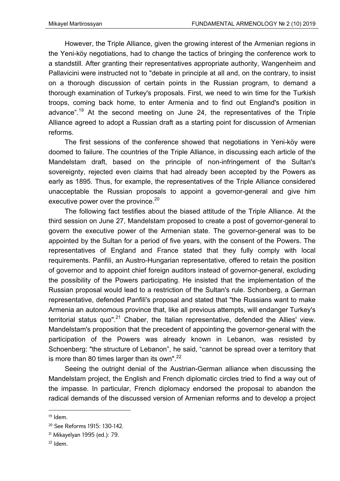However, the Triple Alliance, given the growing interest of the Armenian regions in the Yeni-köy negotiations, had to change the tactics of bringing the conference work to a standstill. After granting their representatives appropriate authority, Wangenheim and Pallavicini were instructed not to "debate in principle at all and, on the contrary, to insist on a thorough discussion of certain points in the Russian program, to demand a thorough examination of Turkey's proposals. First, we need to win time for the Turkish troops, coming back home, to enter Armenia and to find out England's position in advance".<sup>19</sup> At the second meeting on June 24, the representatives of the Triple Alliance agreed to adopt a Russian draft as a starting point for discussion of Armenian reforms.

The first sessions of the conference showed that negotiations in Yeni-köy were doomed to failure. The countries of the Triple Alliance, in discussing each article of the Mandelstam draft, based on the principle of non-infringement of the Sultan's sovereignty, rejected even claims that had already been accepted by the Powers as early as 1895. Thus, for example, the representatives of the Triple Alliance considered unacceptable the Russian proposals to appoint a governor-general and give him executive power over the province. $^{20}$ 

The following fact testifies about the biased attitude of the Triple Alliance. At the third session on June 27, Mandelstam proposed to create a post of governor-general to govern the executive power of the Armenian state. The governor-general was to be appointed by the Sultan for a period of five years, with the consent of the Powers. The representatives of England and France stated that they fully comply with local requirements. Panfili, an Austro-Hungarian representative, offered to retain the position of governor and to appoint chief foreign auditors instead of governor-general, excluding the possibility of the Powers participating. He insisted that the implementation of the Russian proposal would lead to a restriction of the Sultan's rule. Schonberg, a German representative, defended Panfili's proposal and stated that "the Russians want to make Armenia an autonomous province that, like all previous attempts, will endanger Turkey's territorial status quo".<sup>21</sup> Chaber, the Italian representative, defended the Allies' view. Mandelstam's proposition that the precedent of appointing the governor-general with the participation of the Powers was already known in Lebanon, was resisted by Schoenberg: "the structure of Lebanon", he said, "cannot be spread over a territory that is more than 80 times larger than its own".<sup>22</sup>

Seeing the outright denial of the Austrian-German alliance when discussing the Mandelstam project, the English and French diplomatic circles tried to find a way out of the impasse. In particular, French diplomacy endorsed the proposal to abandon the radical demands of the discussed version of Armenian reforms and to develop a project

<sup>19</sup> Idem.

<sup>20</sup> See Reforms 1915: 130-142.

<sup>21</sup> Mikayelyan 1995 (ed.): 79.

 $22$  Idem.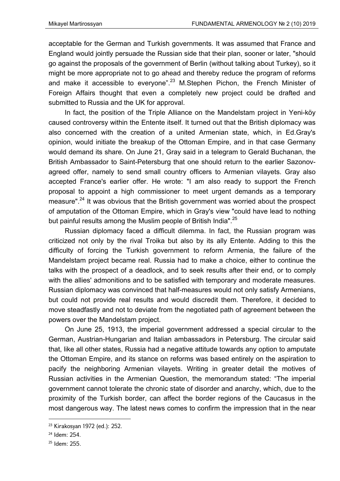acceptable for the German and Turkish governments. It was assumed that France and England would jointly persuade the Russian side that their plan, sooner or later, "should go against the proposals of the government of Berlin (without talking about Turkey), so it might be more appropriate not to go ahead and thereby reduce the program of reforms and make it accessible to everyone".<sup>23</sup> M.Stephen Pichon, the French Minister of Foreign Affairs thought that even a completely new project could be drafted and submitted to Russia and the UK for approval.

In fact, the position of the Triple Alliance on the Mandelstam project in Yeni-köy caused controversy within the Entente itself. It turned out that the British diplomacy was also concerned with the creation of a united Armenian state, which, in Ed.Gray's opinion, would initiate the breakup of the Ottoman Empire, and in that case Germany would demand its share. On June 21, Gray said in a telegram to Gerald Buchanan, the British Ambassador to Saint-Petersburg that one should return to the earlier Sazonovagreed offer, namely to send small country officers to Armenian vilayets. Gray also accepted France's earlier offer. He wrote: "I am also ready to support the French proposal to appoint a high commissioner to meet urgent demands as a temporary measure".<sup>24</sup> It was obvious that the British government was worried about the prospect of amputation of the Ottoman Empire, which in Gray's view "could have lead to nothing but painful results among the Muslim people of British India".<sup>25</sup>

Russian diplomacy faced a difficult dilemma. In fact, the Russian program was criticized not only by the rival Troika but also by its ally Entente. Adding to this the difficulty of forcing the Turkish government to reform Armenia, the failure of the Mandelstam project became real. Russia had to make a choice, either to continue the talks with the prospect of a deadlock, and to seek results after their end, or to comply with the allies' admonitions and to be satisfied with temporary and moderate measures. Russian diplomacy was convinced that half-measures would not only satisfy Armenians, but could not provide real results and would discredit them. Therefore, it decided to move steadfastly and not to deviate from the negotiated path of agreement between the powers over the Mandelstam project.

On June 25, 1913, the imperial government addressed a special circular to the German, Austrian-Hungarian and Italian ambassadors in Petersburg. The circular said that, like all other states, Russia had a negative attitude towards any option to amputate the Ottoman Empire, and its stance on reforms was based entirely on the aspiration to pacify the neighboring Armenian vilayets. Writing in greater detail the motives of Russian activities in the Armenian Question, the memorandum stated: "The imperial government cannot tolerate the chronic state of disorder and anarchy, which, due to the proximity of the Turkish border, can affect the border regions of the Caucasus in the most dangerous way. The latest news comes to confirm the impression that in the near

<sup>23</sup> Kirakosyan 1972 (ed.): 252.

<sup>24</sup> Idem: 254.

<sup>25</sup> Idem: 255.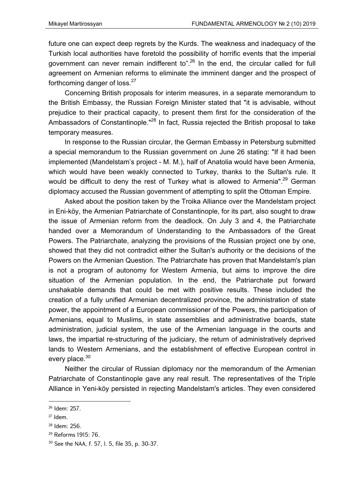future one can expect deep regrets by the Kurds. The weakness and inadequacy of the Turkish local authorities have foretold the possibility of horrific events that the imperial government can never remain indifferent to".<sup>26</sup> In the end, the circular called for full agreement on Armenian reforms to eliminate the imminent danger and the prospect of forthcoming danger of loss. $27$ 

Concerning British proposals for interim measures, in a separate memorandum to the British Embassy, the Russian Foreign Minister stated that "it is advisable, without prejudice to their practical capacity, to present them first for the consideration of the Ambassadors of Constantinople."<sup>28</sup> In fact, Russia rejected the British proposal to take temporary measures.

In response to the Russian circular, the German Embassy in Petersburg submitted a special memorandum to the Russian government on June 26 stating: "If it had been implemented (Mandelstam's project - M. M.), half of Anatolia would have been Armenia, which would have been weakly connected to Turkey, thanks to the Sultan's rule. It would be difficult to deny the rest of Turkey what is allowed to Armenia".<sup>29</sup> German diplomacy accused the Russian government of attempting to split the Ottoman Empire.

Asked about the position taken by the Troika Alliance over the Mandelstam project in Eni-köy, the Armenian Patriarchate of Constantinople, for its part, also sought to draw the issue of Armenian reform from the deadlock. On July 3 and 4, the Patriarchate handed over a Memorandum of Understanding to the Ambassadors of the Great Powers. The Patriarchate, analyzing the provisions of the Russian project one by one, showed that they did not contradict either the Sultan's authority or the decisions of the Powers on the Armenian Question. The Patriarchate has proven that Mandelstam's plan is not a program of autonomy for Western Armenia, but aims to improve the dire situation of the Armenian population. In the end, the Patriarchate put forward unshakable demands that could be met with positive results. These included the creation of a fully unified Armenian decentralized province, the administration of state power, the appointment of a European commissioner of the Powers, the participation of Armenians, equal to Muslims, in state assemblies and administrative boards, state administration, judicial system, the use of the Armenian language in the courts and laws, the impartial re-structuring of the judiciary, the return of administratively deprived lands to Western Armenians, and the establishment of effective European control in every place.<sup>30</sup>

Neither the circular of Russian diplomacy nor the memorandum of the Armenian Patriarchate of Constantinople gave any real result. The representatives of the Triple Alliance in Yeni-köy persisted in rejecting Mandelstam's articles. They even considered

<sup>26</sup> Idem: 257.

 $27$  Idem

<sup>28</sup> Idem: 256.

<sup>29</sup> Reforms 1915: 76.

<sup>30</sup> See the NAA, f. 57, l. 5, file 35, p. 30-37.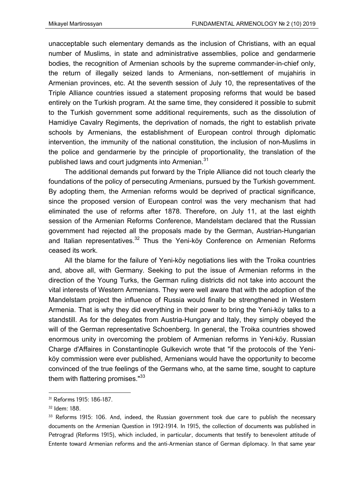unacceptable such elementary demands as the inclusion of Christians, with an equal number of Muslims, in state and administrative assemblies, police and gendarmerie bodies, the recognition of Armenian schools by the supreme commander-in-chief only, the return of illegally seized lands to Armenians, non-settlement of mujahiris in Armenian provinces, etc. At the seventh session of July 10, the representatives of the Triple Alliance countries issued a statement proposing reforms that would be based entirely on the Turkish program. At the same time, they considered it possible to submit to the Turkish government some additional requirements, such as the dissolution of Hamidiye Cavalry Regiments, the deprivation of nomads, the right to establish private schools by Armenians, the establishment of European control through diplomatic intervention, the immunity of the national constitution, the inclusion of non-Muslims in the police and gendarmerie by the principle of proportionality, the translation of the published laws and court judgments into Armenian.<sup>31</sup>

The additional demands put forward by the Triple Alliance did not touch clearly the foundations of the policy of persecuting Armenians, pursued by the Turkish government. By adopting them, the Armenian reforms would be deprived of practical significance, since the proposed version of European control was the very mechanism that had eliminated the use of reforms after 1878. Therefore, on July 11, at the last eighth session of the Armenian Reforms Conference, Mandelstam declared that the Russian government had rejected all the proposals made by the German, Austrian-Hungarian and Italian representatives.<sup>32</sup> Thus the Yeni-köy Conference on Armenian Reforms ceased its work.

All the blame for the failure of Yeni-köy negotiations lies with the Troika countries and, above all, with Germany. Seeking to put the issue of Armenian reforms in the direction of the Young Turks, the German ruling districts did not take into account the vital interests of Western Armenians. They were well aware that with the adoption of the Mandelstam project the influence of Russia would finally be strengthened in Western Armenia. That is why they did everything in their power to bring the Yeni-köy talks to a standstill. As for the delegates from Austria-Hungary and Italy, they simply obeyed the will of the German representative Schoenberg. In general, the Troika countries showed enormous unity in overcoming the problem of Armenian reforms in Yeni-köy. Russian Charge d'Affaires in Constantinople Gulkevich wrote that "if the protocols of the Yeniköy commission were ever published, Armenians would have the opportunity to become convinced of the true feelings of the Germans who, at the same time, sought to capture them with flattering promises."33

<sup>31</sup> Reforms 1915: 186-187.

<sup>32</sup> Idem: 188.

<sup>&</sup>lt;sup>33</sup> Reforms 1915: 106. And, indeed, the Russian government took due care to publish the necessary documents on the Armenian Question in 1912-1914. In 1915, the collection of documents was published in Petrograd (Reforms 1915), which included, in particular, documents that testify to benevolent attitude of Entente toward Armenian reforms and the anti-Armenian stance of German diplomacy. In that same year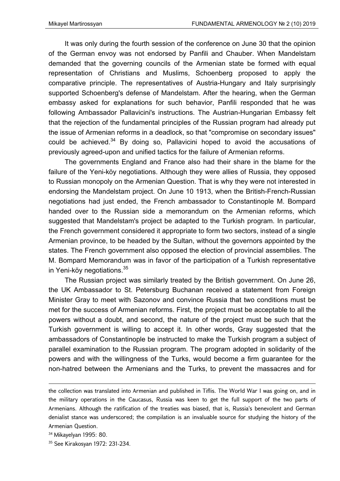It was only during the fourth session of the conference on June 30 that the opinion of the German envoy was not endorsed by Panfili and Chauber. When Mandelstam demanded that the governing councils of the Armenian state be formed with equal representation of Christians and Muslims, Schoenberg proposed to apply the comparative principle. The representatives of Austria-Hungary and Italy surprisingly supported Schoenberg's defense of Mandelstam. After the hearing, when the German embassy asked for explanations for such behavior, Panfili responded that he was following Ambassador Pallavicini's instructions. The Austrian-Hungarian Embassy felt that the rejection of the fundamental principles of the Russian program had already put the issue of Armenian reforms in a deadlock, so that "compromise on secondary issues" could be achieved. $34$  By doing so, Pallavicini hoped to avoid the accusations of previously agreed-upon and unified tactics for the failure of Armenian reforms.

The governments England and France also had their share in the blame for the failure of the Yeni-köy negotiations. Although they were allies of Russia, they opposed to Russian monopoly on the Armenian Question. That is why they were not interested in endorsing the Mandelstam project. On June 10 1913, when the British-French-Russian negotiations had just ended, the French ambassador to Constantinople M. Bompard handed over to the Russian side a memorandum on the Armenian reforms, which suggested that Mandelstam's project be adapted to the Turkish program. In particular, the French government considered it appropriate to form two sectors, instead of a single Armenian province, to be headed by the Sultan, without the governors appointed by the states. The French government also opposed the election of provincial assemblies. The M. Bompard Memorandum was in favor of the participation of a Turkish representative in Yeni-köy negotiations.<sup>35</sup>

The Russian project was similarly treated by the British government. On June 26, the UK Ambassador to St. Petersburg Buchanan received a statement from Foreign Minister Gray to meet with Sazonov and convince Russia that two conditions must be met for the success of Armenian reforms. First, the project must be acceptable to all the powers without a doubt, and second, the nature of the project must be such that the Turkish government is willing to accept it. In other words, Gray suggested that the ambassadors of Constantinople be instructed to make the Turkish program a subject of parallel examination to the Russian program. The program adopted in solidarity of the powers and with the willingness of the Turks, would become a firm guarantee for the non-hatred between the Armenians and the Turks, to prevent the massacres and for

<u> Andrewski politika (za obrazu pod predsjednika u predsjednika u predsjednika u predsjednika (za obrazu pod p</u>

the collection was translated into Armenian and published in Tiflis. The World War I was going on, and in the military operations in the Caucasus, Russia was keen to get the full support of the two parts of Armenians. Although the ratification of the treaties was biased, that is, Russia's benevolent and German denialist stance was underscored; the compilation is an invaluable source for studying the history of the Armenian Question.

<sup>34</sup> Mikayelyan 1995: 80.

<sup>35</sup> See Kirakosyan 1972: 231-234.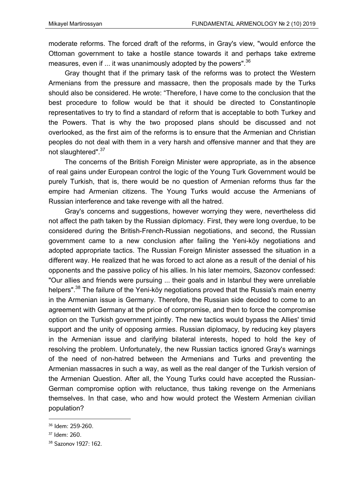moderate reforms. The forced draft of the reforms, in Gray's view, "would enforce the Ottoman government to take a hostile stance towards it and perhaps take extreme measures, even if ... it was unanimously adopted by the powers". $^{36}$ 

Gray thought that if the primary task of the reforms was to protect the Western Armenians from the pressure and massacre, then the proposals made by the Turks should also be considered. He wrote: "Therefore, I have come to the conclusion that the best procedure to follow would be that it should be directed to Constantinople representatives to try to find a standard of reform that is acceptable to both Turkey and the Powers. That is why the two proposed plans should be discussed and not overlooked, as the first aim of the reforms is to ensure that the Armenian and Christian peoples do not deal with them in a very harsh and offensive manner and that they are not slaughtered".<sup>37</sup>

The concerns of the British Foreign Minister were appropriate, as in the absence of real gains under European control the logic of the Young Turk Government would be purely Turkish, that is, there would be no question of Armenian reforms thus far the empire had Armenian citizens. The Young Turks would accuse the Armenians of Russian interference and take revenge with all the hatred.

Gray's concerns and suggestions, however worrying they were, nevertheless did not affect the path taken by the Russian diplomacy. First, they were long overdue, to be considered during the British-French-Russian negotiations, and second, the Russian government came to a new conclusion after failing the Yeni-köy negotiations and adopted appropriate tactics. The Russian Foreign Minister assessed the situation in a different way. He realized that he was forced to act alone as a result of the denial of his opponents and the passive policy of his allies. In his later memoirs, Sazonov confessed: "Our allies and friends were pursuing ... their goals and in Istanbul they were unreliable helpers".<sup>38</sup> The failure of the Yeni-köy negotiations proved that the Russia's main enemy in the Armenian issue is Germany. Therefore, the Russian side decided to come to an agreement with Germany at the price of compromise, and then to force the compromise option on the Turkish government jointly. The new tactics would bypass the Allies' timid support and the unity of opposing armies. Russian diplomacy, by reducing key players in the Armenian issue and clarifying bilateral interests, hoped to hold the key of resolving the problem. Unfortunately, the new Russian tactics ignored Gray's warnings of the need of non-hatred between the Armenians and Turks and preventing the Armenian massacres in such a way, as well as the real danger of the Turkish version of the Armenian Question. After all, the Young Turks could have accepted the Russian-German compromise option with reluctance, thus taking revenge on the Armenians themselves. In that case, who and how would protect the Western Armenian civilian population?

<sup>36</sup> Idem: 259-260.

<sup>37</sup> Idem: 260.

<sup>38</sup> Sazonov 1927: 162.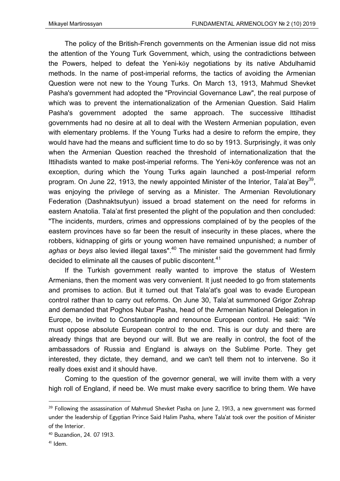The policy of the British-French governments on the Armenian issue did not miss the attention of the Young Turk Government, which, using the contradictions between the Powers, helped to defeat the Yeni-köy negotiations by its native Abdulhamid methods. In the name of post-imperial reforms, the tactics of avoiding the Armenian Question were not new to the Young Turks. On March 13, 1913, Mahmud Shevket Pasha's government had adopted the "Provincial Governance Law", the real purpose of which was to prevent the internationalization of the Armenian Question. Said Halim Pasha's government adopted the same approach. The successive Ittihadist governments had no desire at all to deal with the Western Armenian population, even with elementary problems. If the Young Turks had a desire to reform the empire, they would have had the means and sufficient time to do so by 1913. Surprisingly, it was only when the Armenian Question reached the threshold of internationalization that the Ittihadists wanted to make post-imperial reforms. The Yeni-köy conference was not an exception, during which the Young Turks again launched a post-Imperial reform program. On June 22, 1913, the newly appointed Minister of the Interior, Tala'at Bey<sup>39</sup>, was enjoying the privilege of serving as a Minister. The Armenian Revolutionary Federation (Dashnaktsutyun) issued a broad statement on the need for reforms in eastern Anatolia. Tala'at first presented the plight of the population and then concluded: "The incidents, murders, crimes and oppressions complained of by the peoples of the eastern provinces have so far been the result of insecurity in these places, where the robbers, kidnapping of girls or young women have remained unpunished; a number of aghas or beys also levied illegal taxes".<sup>40</sup> The minister said the government had firmly decided to eliminate all the causes of public discontent. $41$ 

If the Turkish government really wanted to improve the status of Western Armenians, then the moment was very convenient. It just needed to go from statements and promises to action. But it turned out that Tala'at's goal was to evade European control rather than to carry out reforms. On June 30, Tala'at summoned Grigor Zohrap and demanded that Poghos Nubar Pasha, head of the Armenian National Delegation in Europe, be invited to Constantinople and renounce European control. He said: "We must oppose absolute European control to the end. This is our duty and there are already things that are beyond our will. But we are really in control, the foot of the ambassadors of Russia and England is always on the Sublime Porte. They get interested, they dictate, they demand, and we can't tell them not to intervene. So it really does exist and it should have.

Coming to the question of the governor general, we will invite them with a very high roll of England, if need be. We must make every sacrifice to bring them. We have

 $39$  Following the assassination of Mahmud Shevket Pasha on June 2, 1913, a new government was formed under the leadership of Egyptian Prince Said Halim Pasha, where Tala'at took over the position of Minister of the Interior.

<sup>40</sup> Buzandion, 24. 07 1913.

 $41$  Idem.